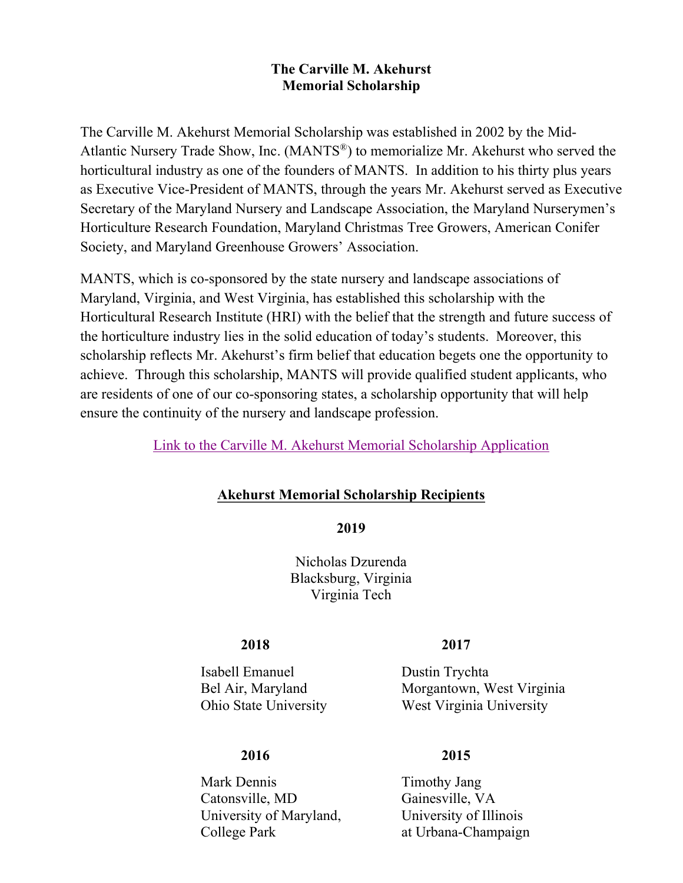# **The Carville M. Akehurst Memorial Scholarship**

The Carville M. Akehurst Memorial Scholarship was established in 2002 by the Mid-Atlantic Nursery Trade Show, Inc. (MANTS®) to memorialize Mr. Akehurst who served the horticultural industry as one of the founders of MANTS. In addition to his thirty plus years as Executive Vice-President of MANTS, through the years Mr. Akehurst served as Executive Secretary of the Maryland Nursery and Landscape Association, the Maryland Nurserymen's Horticulture Research Foundation, Maryland Christmas Tree Growers, American Conifer Society, and Maryland Greenhouse Growers' Association.

MANTS, which is co-sponsored by the state nursery and landscape associations of Maryland, Virginia, and West Virginia, has established this scholarship with the Horticultural Research Institute (HRI) with the belief that the strength and future success of the horticulture industry lies in the solid education of today's students. Moreover, this scholarship reflects Mr. Akehurst's firm belief that education begets one the opportunity to achieve. Through this scholarship, MANTS will provide qualified student applicants, who are residents of one of our co-sponsoring states, a scholarship opportunity that will help ensure the continuity of the nursery and landscape profession.

# [Link to the Carville M. Akehurst Memorial Scholarship](https://www.hriresearch.org/scholarship/fund-your-future) Application

# **Akehurst Memorial Scholarship Recipients**

**2019**

Nicholas Dzurenda Blacksburg, Virginia Virginia Tech

# **2018 2017**

Isabell Emanuel Dustin Trychta

# **2016 2015**

Mark Dennis Timothy Jang Catonsville, MD Gainesville, VA University of Maryland, University of Illinois College Park at Urbana-Champaign

Bel Air, Maryland Morgantown, West Virginia Ohio State University West Virginia University